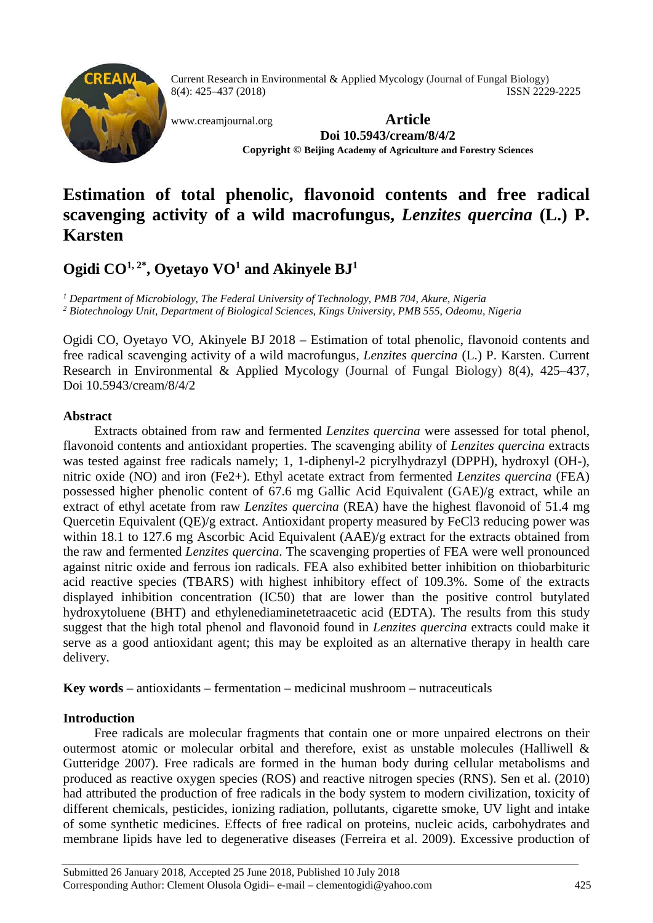

Current Research in Environmental & Applied Mycology (Journal of Fungal Biology) 8(4): 425–437 (2018) ISSN 2229-2225

[www.creamjournal.org](http://www.creamjournal.org/) **Article Doi 10.5943/cream/8/4/2 Copyright © Beijing Academy of Agriculture and Forestry Sciences**

# **Estimation of total phenolic, flavonoid contents and free radical scavenging activity of a wild macrofungus,** *Lenzites quercina* **(L.) P. Karsten**

# **Ogidi CO1, 2\*, Oyetayo VO1 and Akinyele BJ1**

*<sup>1</sup> Department of Microbiology, The Federal University of Technology, PMB 704, Akure, Nigeria <sup>2</sup> Biotechnology Unit, Department of Biological Sciences, Kings University, PMB 555, Odeomu, Nigeria*

Ogidi CO, Oyetayo VO, Akinyele BJ 2018 – Estimation of total phenolic, flavonoid contents and free radical scavenging activity of a wild macrofungus, *Lenzites quercina* (L.) P. Karsten. Current Research in Environmental & Applied Mycology (Journal of Fungal Biology) 8(4), 425–437, Doi 10.5943/cream/8/4/2

# **Abstract**

Extracts obtained from raw and fermented *Lenzites quercina* were assessed for total phenol, flavonoid contents and antioxidant properties. The scavenging ability of *Lenzites quercina* extracts was tested against free radicals namely; 1, 1-diphenyl-2 picrylhydrazyl (DPPH), hydroxyl (OH-), nitric oxide (NO) and iron (Fe2+). Ethyl acetate extract from fermented *Lenzites quercina* (FEA) possessed higher phenolic content of 67.6 mg Gallic Acid Equivalent (GAE)/g extract, while an extract of ethyl acetate from raw *Lenzites quercina* (REA) have the highest flavonoid of 51.4 mg Quercetin Equivalent (QE)/g extract. Antioxidant property measured by FeCl3 reducing power was within 18.1 to 127.6 mg Ascorbic Acid Equivalent (AAE)/g extract for the extracts obtained from the raw and fermented *Lenzites quercina*. The scavenging properties of FEA were well pronounced against nitric oxide and ferrous ion radicals. FEA also exhibited better inhibition on thiobarbituric acid reactive species (TBARS) with highest inhibitory effect of 109.3%. Some of the extracts displayed inhibition concentration (IC50) that are lower than the positive control butylated hydroxytoluene (BHT) and ethylenediaminetetraacetic acid (EDTA). The results from this study suggest that the high total phenol and flavonoid found in *Lenzites quercina* extracts could make it serve as a good antioxidant agent; this may be exploited as an alternative therapy in health care delivery.

**Key words** – antioxidants – fermentation – medicinal mushroom – nutraceuticals

# **Introduction**

Free radicals are molecular fragments that contain one or more unpaired electrons on their outermost atomic or molecular orbital and therefore, exist as unstable molecules (Halliwell & Gutteridge 2007). Free radicals are formed in the human body during cellular metabolisms and produced as reactive oxygen species (ROS) and reactive nitrogen species (RNS). Sen et al. (2010) had attributed the production of free radicals in the body system to modern civilization, toxicity of different chemicals, pesticides, ionizing radiation, pollutants, cigarette smoke, UV light and intake of some synthetic medicines. Effects of free radical on proteins, nucleic acids, carbohydrates and membrane lipids have led to degenerative diseases (Ferreira et al. 2009). Excessive production of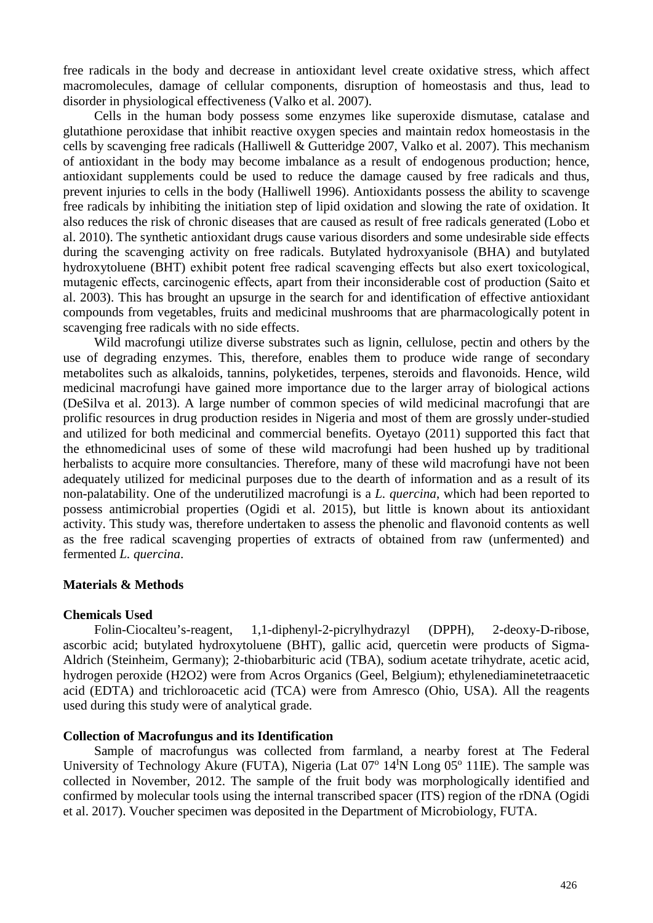free radicals in the body and decrease in antioxidant level create oxidative stress, which affect macromolecules, damage of cellular components, disruption of homeostasis and thus, lead to disorder in physiological effectiveness (Valko et al. 2007).

Cells in the human body possess some enzymes like superoxide dismutase, catalase and glutathione peroxidase that inhibit reactive oxygen species and maintain redox homeostasis in the cells by scavenging free radicals (Halliwell & Gutteridge 2007, Valko et al. 2007). This mechanism of antioxidant in the body may become imbalance as a result of endogenous production; hence, antioxidant supplements could be used to reduce the damage caused by free radicals and thus, prevent injuries to cells in the body (Halliwell 1996). Antioxidants possess the ability to scavenge free radicals by inhibiting the initiation step of lipid oxidation and slowing the rate of oxidation. It also reduces the risk of chronic diseases that are caused as result of free radicals generated (Lobo et al. 2010). The synthetic antioxidant drugs cause various disorders and some undesirable side effects during the scavenging activity on free radicals. Butylated hydroxyanisole (BHA) and butylated hydroxytoluene (BHT) exhibit potent free radical scavenging effects but also exert toxicological, mutagenic effects, carcinogenic effects, apart from their inconsiderable cost of production (Saito et al. 2003). This has brought an upsurge in the search for and identification of effective antioxidant compounds from vegetables, fruits and medicinal mushrooms that are pharmacologically potent in scavenging free radicals with no side effects.

Wild macrofungi utilize diverse substrates such as lignin, cellulose, pectin and others by the use of degrading enzymes. This, therefore, enables them to produce wide range of secondary metabolites such as alkaloids, tannins, polyketides, terpenes, steroids and flavonoids. Hence, wild medicinal macrofungi have gained more importance due to the larger array of biological actions (DeSilva et al. 2013). A large number of common species of wild medicinal macrofungi that are prolific resources in drug production resides in Nigeria and most of them are grossly under-studied and utilized for both medicinal and commercial benefits. Oyetayo (2011) supported this fact that the ethnomedicinal uses of some of these wild macrofungi had been hushed up by traditional herbalists to acquire more consultancies. Therefore, many of these wild macrofungi have not been adequately utilized for medicinal purposes due to the dearth of information and as a result of its non-palatability. One of the underutilized macrofungi is a *L. quercina*, which had been reported to possess antimicrobial properties (Ogidi et al. 2015), but little is known about its antioxidant activity. This study was, therefore undertaken to assess the phenolic and flavonoid contents as well as the free radical scavenging properties of extracts of obtained from raw (unfermented) and fermented *L. quercina*.

# **Materials & Methods**

# **Chemicals Used**

Folin-Ciocalteu's-reagent, 1,1-diphenyl-2-picrylhydrazyl (DPPH), 2-deoxy-D-ribose, ascorbic acid; butylated hydroxytoluene (BHT), gallic acid, quercetin were products of Sigma-Aldrich (Steinheim, Germany); 2-thiobarbituric acid (TBA), sodium acetate trihydrate, acetic acid, hydrogen peroxide (H2O2) were from Acros Organics (Geel, Belgium); ethylenediaminetetraacetic acid (EDTA) and trichloroacetic acid (TCA) were from Amresco (Ohio, USA). All the reagents used during this study were of analytical grade.

# **Collection of Macrofungus and its Identification**

Sample of macrofungus was collected from farmland, a nearby forest at The Federal University of Technology Akure (FUTA), Nigeria (Lat 07<sup>o</sup> 14<sup>I</sup>N Long 05<sup>o</sup> 11IE). The sample was collected in November, 2012. The sample of the fruit body was morphologically identified and confirmed by molecular tools using the internal transcribed spacer (ITS) region of the rDNA (Ogidi et al. 2017). Voucher specimen was deposited in the Department of Microbiology, FUTA.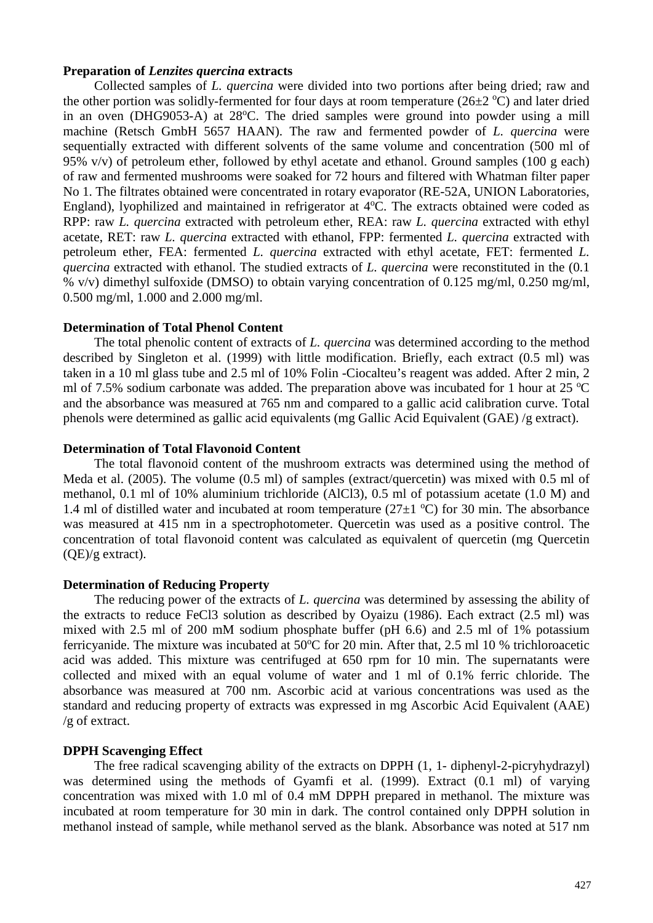## **Preparation of** *Lenzites quercina* **extracts**

Collected samples of *L. quercina* were divided into two portions after being dried; raw and the other portion was solidly-fermented for four days at room temperature  $(26\pm2~\mathrm{°C})$  and later dried in an oven (DHG9053-A) at 28°C. The dried samples were ground into powder using a mill machine (Retsch GmbH 5657 HAAN). The raw and fermented powder of *L. quercina* were sequentially extracted with different solvents of the same volume and concentration (500 ml of 95%  $v/v$ ) of petroleum ether, followed by ethyl acetate and ethanol. Ground samples (100 g each) of raw and fermented mushrooms were soaked for 72 hours and filtered with Whatman filter paper No 1. The filtrates obtained were concentrated in rotary evaporator (RE-52A, UNION Laboratories, England), lyophilized and maintained in refrigerator at 4°C. The extracts obtained were coded as RPP: raw *L. quercina* extracted with petroleum ether, REA: raw *L. quercina* extracted with ethyl acetate, RET: raw *L. quercina* extracted with ethanol, FPP: fermented *L. quercina* extracted with petroleum ether, FEA: fermented *L. quercina* extracted with ethyl acetate, FET: fermented *L. quercina* extracted with ethanol. The studied extracts of *L. quercina* were reconstituted in the (0.1 % v/v) dimethyl sulfoxide (DMSO) to obtain varying concentration of 0.125 mg/ml, 0.250 mg/ml, 0.500 mg/ml, 1.000 and 2.000 mg/ml.

# **Determination of Total Phenol Content**

The total phenolic content of extracts of *L. quercina* was determined according to the method described by Singleton et al. (1999) with little modification. Briefly, each extract (0.5 ml) was taken in a 10 ml glass tube and 2.5 ml of 10% Folin -Ciocalteu's reagent was added. After 2 min, 2 ml of 7.5% sodium carbonate was added. The preparation above was incubated for 1 hour at 25  $^{\circ}$ C and the absorbance was measured at 765 nm and compared to a gallic acid calibration curve. Total phenols were determined as gallic acid equivalents (mg Gallic Acid Equivalent (GAE) /g extract).

## **Determination of Total Flavonoid Content**

The total flavonoid content of the mushroom extracts was determined using the method of Meda et al. (2005). The volume (0.5 ml) of samples (extract/quercetin) was mixed with 0.5 ml of methanol, 0.1 ml of 10% aluminium trichloride (AlCl3), 0.5 ml of potassium acetate (1.0 M) and 1.4 ml of distilled water and incubated at room temperature  $(27\pm1~\text{°C})$  for 30 min. The absorbance was measured at 415 nm in a spectrophotometer. Quercetin was used as a positive control. The concentration of total flavonoid content was calculated as equivalent of quercetin (mg Quercetin (QE)/g extract).

#### **Determination of Reducing Property**

The reducing power of the extracts of *L. quercina* was determined by assessing the ability of the extracts to reduce FeCl3 solution as described by Oyaizu (1986). Each extract (2.5 ml) was mixed with 2.5 ml of 200 mM sodium phosphate buffer (pH 6.6) and 2.5 ml of 1% potassium ferricyanide. The mixture was incubated at 50°C for 20 min. After that, 2.5 ml 10 % trichloroacetic acid was added. This mixture was centrifuged at 650 rpm for 10 min. The supernatants were collected and mixed with an equal volume of water and 1 ml of 0.1% ferric chloride. The absorbance was measured at 700 nm. Ascorbic acid at various concentrations was used as the standard and reducing property of extracts was expressed in mg Ascorbic Acid Equivalent (AAE) /g of extract.

# **DPPH Scavenging Effect**

The free radical scavenging ability of the extracts on DPPH (1, 1- diphenyl-2-picryhydrazyl) was determined using the methods of Gyamfi et al. (1999). Extract (0.1 ml) of varying concentration was mixed with 1.0 ml of 0.4 mM DPPH prepared in methanol. The mixture was incubated at room temperature for 30 min in dark. The control contained only DPPH solution in methanol instead of sample, while methanol served as the blank. Absorbance was noted at 517 nm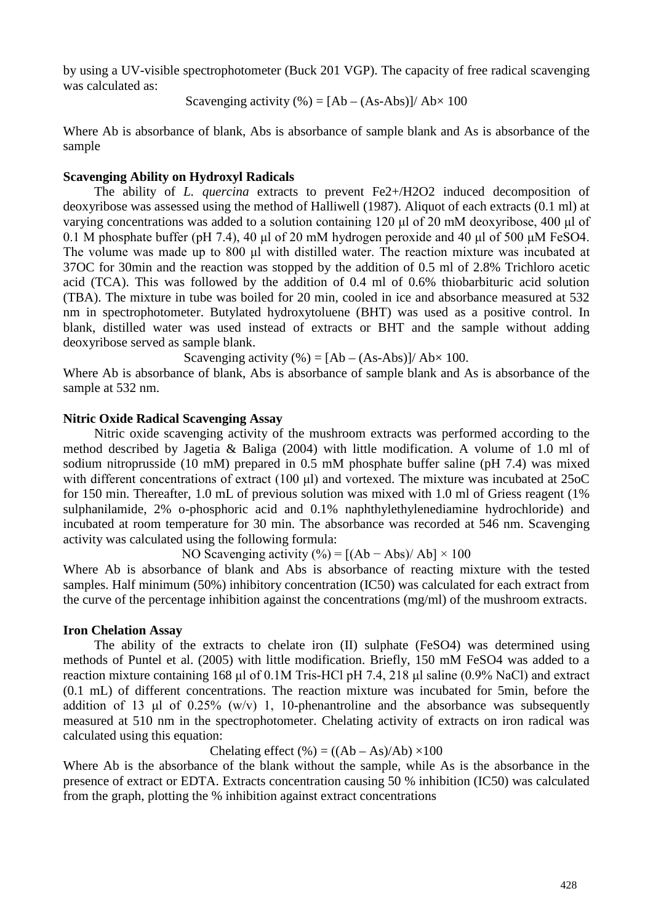by using a UV-visible spectrophotometer (Buck 201 VGP). The capacity of free radical scavenging was calculated as:

Scavenging activity  $%$  = [Ab – (As-Abs)]/ Ab $\times$  100

Where Ab is absorbance of blank, Abs is absorbance of sample blank and As is absorbance of the sample

# **Scavenging Ability on Hydroxyl Radicals**

The ability of *L. quercina* extracts to prevent Fe2+/H2O2 induced decomposition of deoxyribose was assessed using the method of Halliwell (1987). Aliquot of each extracts (0.1 ml) at varying concentrations was added to a solution containing 120 μl of 20 mM deoxyribose, 400 μl of 0.1 M phosphate buffer (pH 7.4), 40 μl of 20 mM hydrogen peroxide and 40 μl of 500 μM FeSO4. The volume was made up to 800 μl with distilled water. The reaction mixture was incubated at 37OC for 30min and the reaction was stopped by the addition of 0.5 ml of 2.8% Trichloro acetic acid (TCA). This was followed by the addition of 0.4 ml of 0.6% thiobarbituric acid solution (TBA). The mixture in tube was boiled for 20 min, cooled in ice and absorbance measured at 532 nm in spectrophotometer. Butylated hydroxytoluene (BHT) was used as a positive control. In blank, distilled water was used instead of extracts or BHT and the sample without adding deoxyribose served as sample blank.

Scavenging activity  $%$  = [Ab – (As-Abs)]/ Ab $\times$  100.

Where Ab is absorbance of blank, Abs is absorbance of sample blank and As is absorbance of the sample at 532 nm.

# **Nitric Oxide Radical Scavenging Assay**

Nitric oxide scavenging activity of the mushroom extracts was performed according to the method described by Jagetia & Baliga (2004) with little modification. A volume of 1.0 ml of sodium nitroprusside (10 mM) prepared in 0.5 mM phosphate buffer saline (pH 7.4) was mixed with different concentrations of extract (100 μl) and vortexed. The mixture was incubated at 25oC for 150 min. Thereafter, 1.0 mL of previous solution was mixed with 1.0 ml of Griess reagent (1% sulphanilamide, 2% o-phosphoric acid and 0.1% naphthylethylenediamine hydrochloride) and incubated at room temperature for 30 min. The absorbance was recorded at 546 nm. Scavenging activity was calculated using the following formula:

NO Scavenging activity  $(\%)=[(Ab - Abs)/Ab] \times 100$ 

Where Ab is absorbance of blank and Abs is absorbance of reacting mixture with the tested samples. Half minimum (50%) inhibitory concentration (IC50) was calculated for each extract from the curve of the percentage inhibition against the concentrations (mg/ml) of the mushroom extracts.

#### **Iron Chelation Assay**

The ability of the extracts to chelate iron (II) sulphate (FeSO4) was determined using methods of Puntel et al. (2005) with little modification. Briefly, 150 mM FeSO4 was added to a reaction mixture containing 168 μl of 0.1M Tris-HCl pH 7.4, 218 μl saline (0.9% NaCl) and extract (0.1 mL) of different concentrations. The reaction mixture was incubated for 5min, before the addition of 13 μl of  $0.25\%$  (w/v) 1, 10-phenantroline and the absorbance was subsequently measured at 510 nm in the spectrophotometer. Chelating activity of extracts on iron radical was calculated using this equation:

Chelating effect  $(\%)=(\frac{(Ab - As)}{Ab}) \times 100$ 

Where Ab is the absorbance of the blank without the sample, while As is the absorbance in the presence of extract or EDTA. Extracts concentration causing 50 % inhibition (IC50) was calculated from the graph, plotting the % inhibition against extract concentrations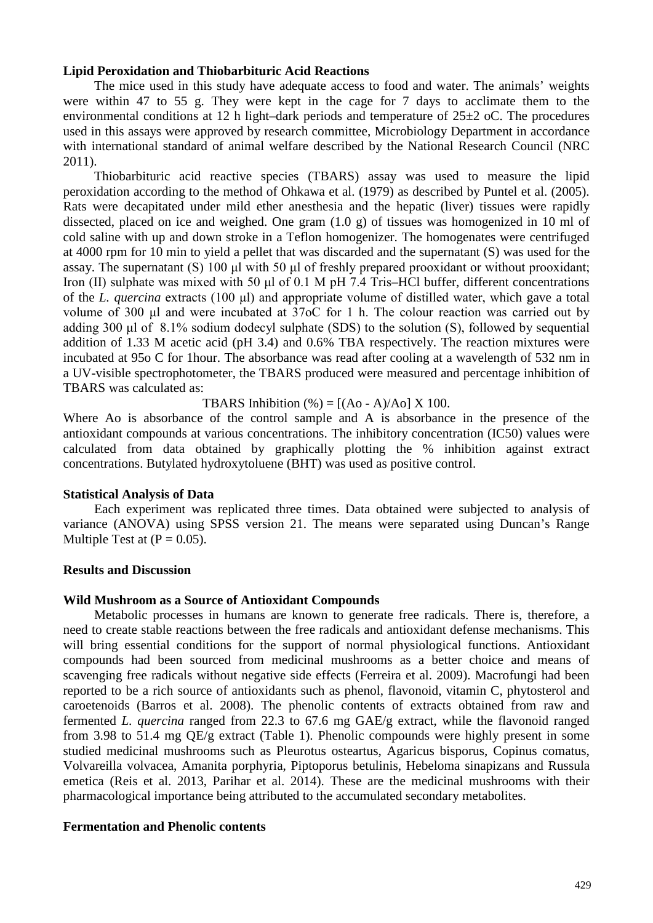# **Lipid Peroxidation and Thiobarbituric Acid Reactions**

The mice used in this study have adequate access to food and water. The animals' weights were within 47 to 55 g. They were kept in the cage for 7 days to acclimate them to the environmental conditions at 12 h light–dark periods and temperature of  $25\pm2$  oC. The procedures used in this assays were approved by research committee, Microbiology Department in accordance with international standard of animal welfare described by the National Research Council (NRC 2011).

Thiobarbituric acid reactive species (TBARS) assay was used to measure the lipid peroxidation according to the method of Ohkawa et al. (1979) as described by Puntel et al. (2005). Rats were decapitated under mild ether anesthesia and the hepatic (liver) tissues were rapidly dissected, placed on ice and weighed. One gram (1.0 g) of tissues was homogenized in 10 ml of cold saline with up and down stroke in a Teflon homogenizer. The homogenates were centrifuged at 4000 rpm for 10 min to yield a pellet that was discarded and the supernatant (S) was used for the assay. The supernatant (S) 100 μl with 50 μl of freshly prepared prooxidant or without prooxidant; Iron (II) sulphate was mixed with 50 μl of 0.1 M pH 7.4 Tris–HCl buffer, different concentrations of the *L. quercina* extracts (100 μl) and appropriate volume of distilled water, which gave a total volume of 300 μl and were incubated at 37oC for 1 h. The colour reaction was carried out by adding 300 μl of 8.1% sodium dodecyl sulphate (SDS) to the solution (S), followed by sequential addition of 1.33 M acetic acid (pH 3.4) and 0.6% TBA respectively. The reaction mixtures were incubated at 95o C for 1hour. The absorbance was read after cooling at a wavelength of 532 nm in a UV-visible spectrophotometer, the TBARS produced were measured and percentage inhibition of TBARS was calculated as:

TBARS Inhibition  $\left(\% \right) = \left[ (\text{Ao - A})/\text{Ao} \right] \times 100.$ 

Where Ao is absorbance of the control sample and A is absorbance in the presence of the antioxidant compounds at various concentrations. The inhibitory concentration (IC50) values were calculated from data obtained by graphically plotting the % inhibition against extract concentrations. Butylated hydroxytoluene (BHT) was used as positive control.

#### **Statistical Analysis of Data**

Each experiment was replicated three times. Data obtained were subjected to analysis of variance (ANOVA) using SPSS version 21. The means were separated using Duncan's Range Multiple Test at  $(P = 0.05)$ .

# **Results and Discussion**

#### **Wild Mushroom as a Source of Antioxidant Compounds**

Metabolic processes in humans are known to generate free radicals. There is, therefore, a need to create stable reactions between the free radicals and antioxidant defense mechanisms. This will bring essential conditions for the support of normal physiological functions. Antioxidant compounds had been sourced from medicinal mushrooms as a better choice and means of scavenging free radicals without negative side effects (Ferreira et al. 2009). Macrofungi had been reported to be a rich source of antioxidants such as phenol, flavonoid, vitamin C, phytosterol and caroetenoids (Barros et al. 2008). The phenolic contents of extracts obtained from raw and fermented *L. quercina* ranged from 22.3 to 67.6 mg GAE/g extract, while the flavonoid ranged from 3.98 to 51.4 mg QE/g extract (Table 1). Phenolic compounds were highly present in some studied medicinal mushrooms such as Pleurotus osteartus, Agaricus bisporus, Copinus comatus, Volvareilla volvacea, Amanita porphyria, Piptoporus betulinis, Hebeloma sinapizans and Russula emetica (Reis et al. 2013, Parihar et al. 2014). These are the medicinal mushrooms with their pharmacological importance being attributed to the accumulated secondary metabolites.

# **Fermentation and Phenolic contents**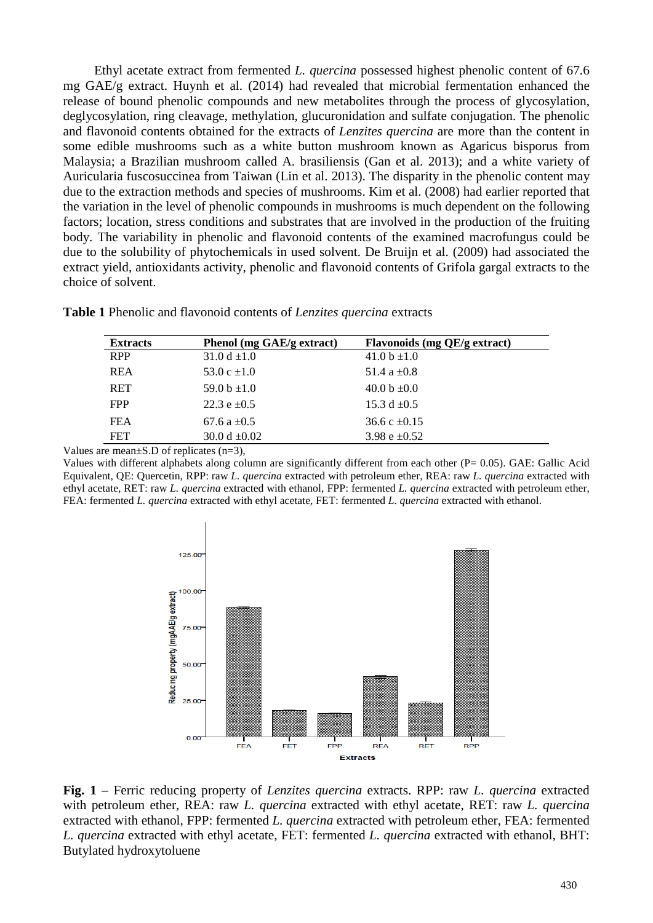Ethyl acetate extract from fermented *L. quercina* possessed highest phenolic content of 67.6 mg GAE/g extract. Huynh et al. (2014) had revealed that microbial fermentation enhanced the release of bound phenolic compounds and new metabolites through the process of glycosylation, deglycosylation, ring cleavage, methylation, glucuronidation and sulfate conjugation. The phenolic and flavonoid contents obtained for the extracts of *Lenzites quercina* are more than the content in some edible mushrooms such as a white button mushroom known as Agaricus bisporus from Malaysia; a Brazilian mushroom called A. brasiliensis (Gan et al. 2013); and a white variety of Auricularia fuscosuccinea from Taiwan (Lin et al. 2013). The disparity in the phenolic content may due to the extraction methods and species of mushrooms. Kim et al. (2008) had earlier reported that the variation in the level of phenolic compounds in mushrooms is much dependent on the following factors; location, stress conditions and substrates that are involved in the production of the fruiting body. The variability in phenolic and flavonoid contents of the examined macrofungus could be due to the solubility of phytochemicals in used solvent. De Bruijn et al. (2009) had associated the extract yield, antioxidants activity, phenolic and flavonoid contents of Grifola gargal extracts to the choice of solvent.

| <b>Extracts</b> | Phenol (mg GAE/g extract) | Flavonoids (mg QE/g extract) |  |  |  |
|-----------------|---------------------------|------------------------------|--|--|--|
| <b>RPP</b>      | 31.0 d $\pm 1.0$          | 41.0 b $\pm$ 1.0             |  |  |  |
| <b>REA</b>      | 53.0 c $\pm 1.0$          | 51.4 a $\pm$ 0.8             |  |  |  |
| <b>RET</b>      | 59.0 b $\pm 1.0$          | 40.0 b $\pm 0.0$             |  |  |  |
| <b>FPP</b>      | 22.3 $e \pm 0.5$          | 15.3 d $\pm 0.5$             |  |  |  |
| <b>FEA</b>      | 67.6 a $\pm 0.5$          | 36.6 c $\pm 0.15$            |  |  |  |
| <b>FET</b>      | 30.0 d $\pm 0.02$         | 3.98 e $\pm 0.52$            |  |  |  |

**Table 1** Phenolic and flavonoid contents of *Lenzites quercina* extracts

Values are mean±S.D of replicates (n=3),

Values with different alphabets along column are significantly different from each other (P= 0.05). GAE: Gallic Acid Equivalent, QE: Quercetin, RPP: raw *L. quercina* extracted with petroleum ether, REA: raw *L. quercina* extracted with ethyl acetate, RET: raw *L. quercina* extracted with ethanol, FPP: fermented *L. quercina* extracted with petroleum ether, FEA: fermented *L. quercina* extracted with ethyl acetate, FET: fermented *L. quercina* extracted with ethanol.



**Fig. 1** – Ferric reducing property of *Lenzites quercina* extracts. RPP: raw *L. quercina* extracted with petroleum ether, REA: raw *L. quercina* extracted with ethyl acetate, RET: raw *L. quercina* extracted with ethanol, FPP: fermented *L. quercina* extracted with petroleum ether, FEA: fermented *L. quercina* extracted with ethyl acetate, FET: fermented *L. quercina* extracted with ethanol, BHT: Butylated hydroxytoluene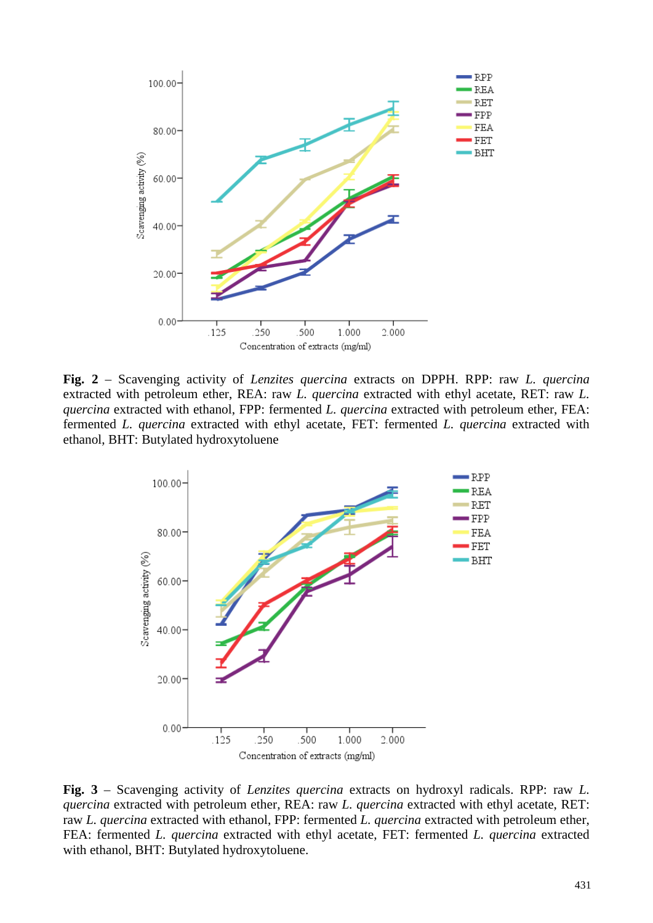

**Fig. 2** – Scavenging activity of *Lenzites quercina* extracts on DPPH. RPP: raw *L. quercina* extracted with petroleum ether, REA: raw *L. quercina* extracted with ethyl acetate, RET: raw *L. quercina* extracted with ethanol, FPP: fermented *L. quercina* extracted with petroleum ether, FEA: fermented *L. quercina* extracted with ethyl acetate, FET: fermented *L. quercina* extracted with ethanol, BHT: Butylated hydroxytoluene



**Fig. 3** – Scavenging activity of *Lenzites quercina* extracts on hydroxyl radicals. RPP: raw *L. quercina* extracted with petroleum ether, REA: raw *L. quercina* extracted with ethyl acetate, RET: raw *L. quercina* extracted with ethanol, FPP: fermented *L. quercina* extracted with petroleum ether, FEA: fermented *L. quercina* extracted with ethyl acetate, FET: fermented *L. quercina* extracted with ethanol, BHT: Butylated hydroxytoluene.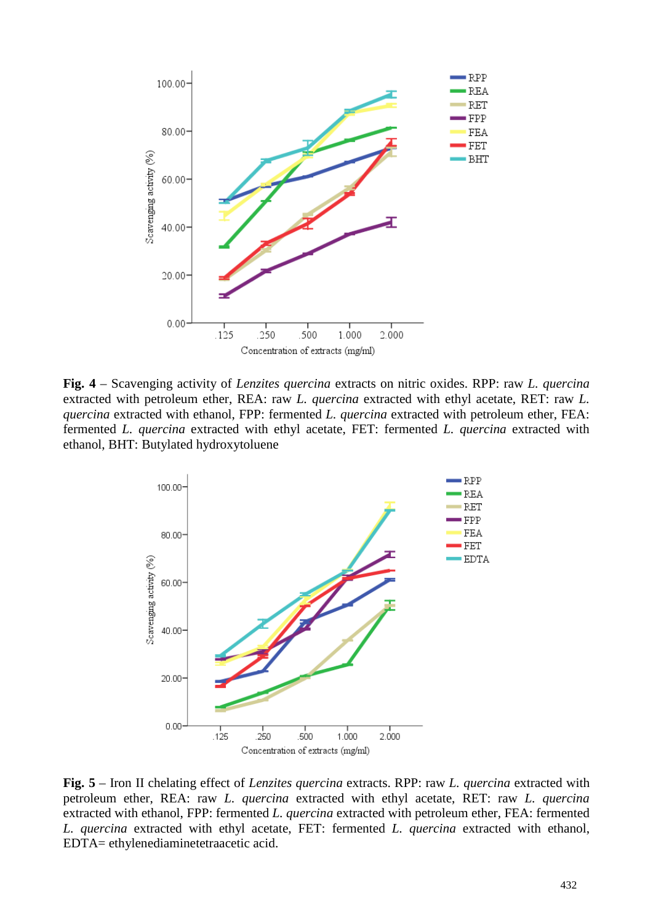

**Fig. 4** – Scavenging activity of *Lenzites quercina* extracts on nitric oxides. RPP: raw *L. quercina* extracted with petroleum ether, REA: raw *L. quercina* extracted with ethyl acetate, RET: raw *L. quercina* extracted with ethanol, FPP: fermented *L. quercina* extracted with petroleum ether, FEA: fermented *L. quercina* extracted with ethyl acetate, FET: fermented *L. quercina* extracted with ethanol, BHT: Butylated hydroxytoluene



**Fig. 5** – Iron II chelating effect of *Lenzites quercina* extracts. RPP: raw *L. quercina* extracted with petroleum ether, REA: raw *L. quercina* extracted with ethyl acetate, RET: raw *L. quercina* extracted with ethanol, FPP: fermented *L. quercina* extracted with petroleum ether, FEA: fermented *L. quercina* extracted with ethyl acetate, FET: fermented *L. quercina* extracted with ethanol, EDTA= ethylenediaminetetraacetic acid.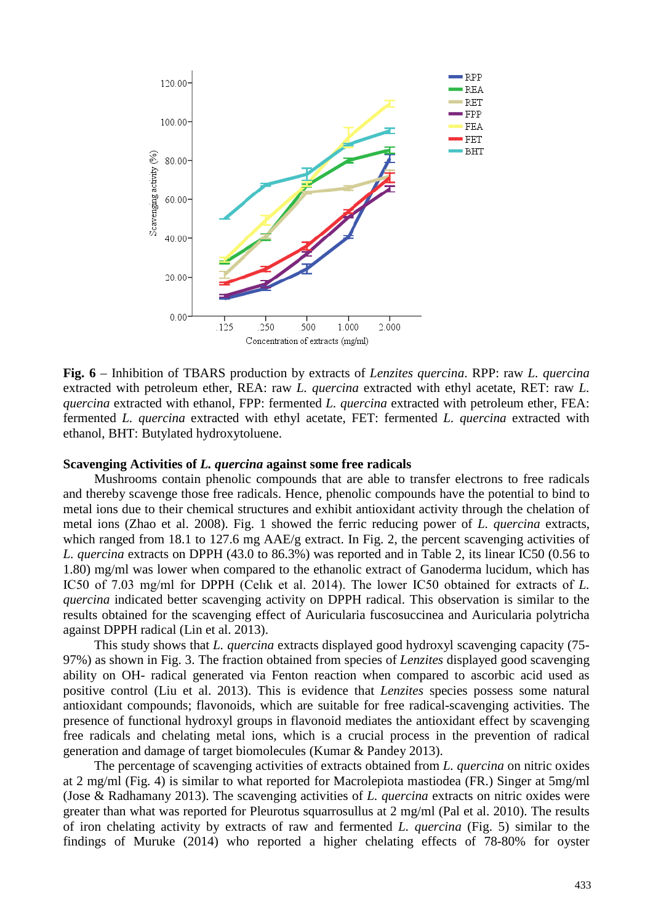

**Fig. 6** – Inhibition of TBARS production by extracts of *Lenzites quercina*. RPP: raw *L. quercina* extracted with petroleum ether, REA: raw *L. quercina* extracted with ethyl acetate, RET: raw *L. quercina* extracted with ethanol, FPP: fermented *L. quercina* extracted with petroleum ether, FEA: fermented *L. quercina* extracted with ethyl acetate, FET: fermented *L. quercina* extracted with ethanol, BHT: Butylated hydroxytoluene.

# **Scavenging Activities of** *L. quercina* **against some free radicals**

Mushrooms contain phenolic compounds that are able to transfer electrons to free radicals and thereby scavenge those free radicals. Hence, phenolic compounds have the potential to bind to metal ions due to their chemical structures and exhibit antioxidant activity through the chelation of metal ions (Zhao et al. 2008). Fig. 1 showed the ferric reducing power of *L. quercina* extracts, which ranged from 18.1 to 127.6 mg AAE/g extract. In Fig. 2, the percent scavenging activities of *L. quercina* extracts on DPPH (43.0 to 86.3%) was reported and in Table 2, its linear IC50 (0.56 to 1.80) mg/ml was lower when compared to the ethanolic extract of Ganoderma lucidum, which has IC50 of 7.03 mg/ml for DPPH (Celık et al. 2014). The lower IC50 obtained for extracts of *L. quercina* indicated better scavenging activity on DPPH radical. This observation is similar to the results obtained for the scavenging effect of Auricularia fuscosuccinea and Auricularia polytricha against DPPH radical (Lin et al. 2013).

This study shows that *L. quercina* extracts displayed good hydroxyl scavenging capacity (75- 97%) as shown in Fig. 3. The fraction obtained from species of *Lenzites* displayed good scavenging ability on OH- radical generated via Fenton reaction when compared to ascorbic acid used as positive control (Liu et al. 2013). This is evidence that *Lenzites* species possess some natural antioxidant compounds; flavonoids, which are suitable for free radical-scavenging activities. The presence of functional hydroxyl groups in flavonoid mediates the antioxidant effect by scavenging free radicals and chelating metal ions, which is a crucial process in the prevention of radical generation and damage of target biomolecules (Kumar & Pandey 2013).

The percentage of scavenging activities of extracts obtained from *L. quercina* on nitric oxides at 2 mg/ml (Fig. 4) is similar to what reported for Macrolepiota mastiodea (FR.) Singer at 5mg/ml (Jose & Radhamany 2013). The scavenging activities of *L. quercina* extracts on nitric oxides were greater than what was reported for Pleurotus squarrosullus at 2 mg/ml (Pal et al. 2010). The results of iron chelating activity by extracts of raw and fermented *L. quercina* (Fig. 5) similar to the findings of Muruke (2014) who reported a higher chelating effects of 78-80% for oyster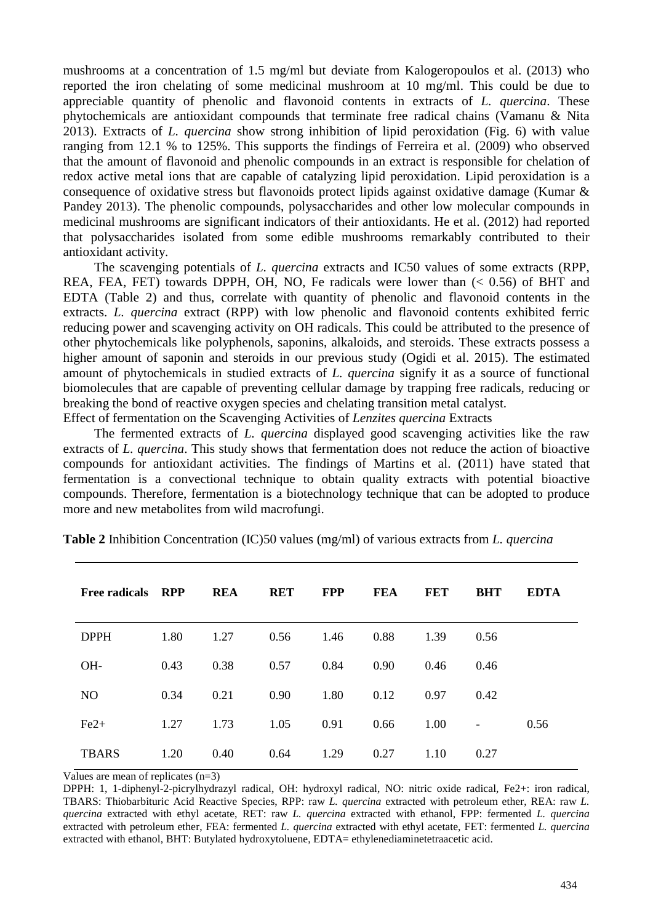mushrooms at a concentration of 1.5 mg/ml but deviate from Kalogeropoulos et al. (2013) who reported the iron chelating of some medicinal mushroom at 10 mg/ml. This could be due to appreciable quantity of phenolic and flavonoid contents in extracts of *L. quercina*. These phytochemicals are antioxidant compounds that terminate free radical chains (Vamanu & Nita 2013). Extracts of *L. quercina* show strong inhibition of lipid peroxidation (Fig. 6) with value ranging from 12.1 % to 125%. This supports the findings of Ferreira et al. (2009) who observed that the amount of flavonoid and phenolic compounds in an extract is responsible for chelation of redox active metal ions that are capable of catalyzing lipid peroxidation. Lipid peroxidation is a consequence of oxidative stress but flavonoids protect lipids against oxidative damage (Kumar & Pandey 2013). The phenolic compounds, polysaccharides and other low molecular compounds in medicinal mushrooms are significant indicators of their antioxidants. He et al. (2012) had reported that polysaccharides isolated from some edible mushrooms remarkably contributed to their antioxidant activity.

The scavenging potentials of *L. quercina* extracts and IC50 values of some extracts (RPP, REA, FEA, FET) towards DPPH, OH, NO, Fe radicals were lower than  $(< 0.56$ ) of BHT and EDTA (Table 2) and thus, correlate with quantity of phenolic and flavonoid contents in the extracts. *L. quercina* extract (RPP) with low phenolic and flavonoid contents exhibited ferric reducing power and scavenging activity on OH radicals. This could be attributed to the presence of other phytochemicals like polyphenols, saponins, alkaloids, and steroids. These extracts possess a higher amount of saponin and steroids in our previous study (Ogidi et al. 2015). The estimated amount of phytochemicals in studied extracts of *L. quercina* signify it as a source of functional biomolecules that are capable of preventing cellular damage by trapping free radicals, reducing or breaking the bond of reactive oxygen species and chelating transition metal catalyst. Effect of fermentation on the Scavenging Activities of *Lenzites quercina* Extracts

The fermented extracts of *L. quercina* displayed good scavenging activities like the raw extracts of *L. quercina*. This study shows that fermentation does not reduce the action of bioactive compounds for antioxidant activities. The findings of Martins et al. (2011) have stated that fermentation is a convectional technique to obtain quality extracts with potential bioactive compounds. Therefore, fermentation is a biotechnology technique that can be adopted to produce more and new metabolites from wild macrofungi.

| <b>Free radicals</b> | <b>RPP</b> | <b>REA</b> | <b>RET</b> | <b>FPP</b> | <b>FEA</b> | <b>FET</b> | <b>BHT</b>               | <b>EDTA</b> |
|----------------------|------------|------------|------------|------------|------------|------------|--------------------------|-------------|
| <b>DPPH</b>          | 1.80       | 1.27       | 0.56       | 1.46       | 0.88       | 1.39       | 0.56                     |             |
| OH-                  | 0.43       | 0.38       | 0.57       | 0.84       | 0.90       | 0.46       | 0.46                     |             |
| N <sub>O</sub>       | 0.34       | 0.21       | 0.90       | 1.80       | 0.12       | 0.97       | 0.42                     |             |
| $Fe2+$               | 1.27       | 1.73       | 1.05       | 0.91       | 0.66       | 1.00       | $\overline{\phantom{a}}$ | 0.56        |
| <b>TBARS</b>         | 1.20       | 0.40       | 0.64       | 1.29       | 0.27       | 1.10       | 0.27                     |             |

**Table 2** Inhibition Concentration (IC)50 values (mg/ml) of various extracts from *L. quercina*

Values are mean of replicates (n=3)

DPPH: 1, 1-diphenyl-2-picrylhydrazyl radical, OH: hydroxyl radical, NO: nitric oxide radical, Fe2+: iron radical, TBARS: Thiobarbituric Acid Reactive Species, RPP: raw *L. quercina* extracted with petroleum ether, REA: raw *L. quercina* extracted with ethyl acetate, RET: raw *L. quercina* extracted with ethanol, FPP: fermented *L. quercina* extracted with petroleum ether, FEA: fermented *L. quercina* extracted with ethyl acetate, FET: fermented *L. quercina* extracted with ethanol, BHT: Butylated hydroxytoluene, EDTA= ethylenediaminetetraacetic acid.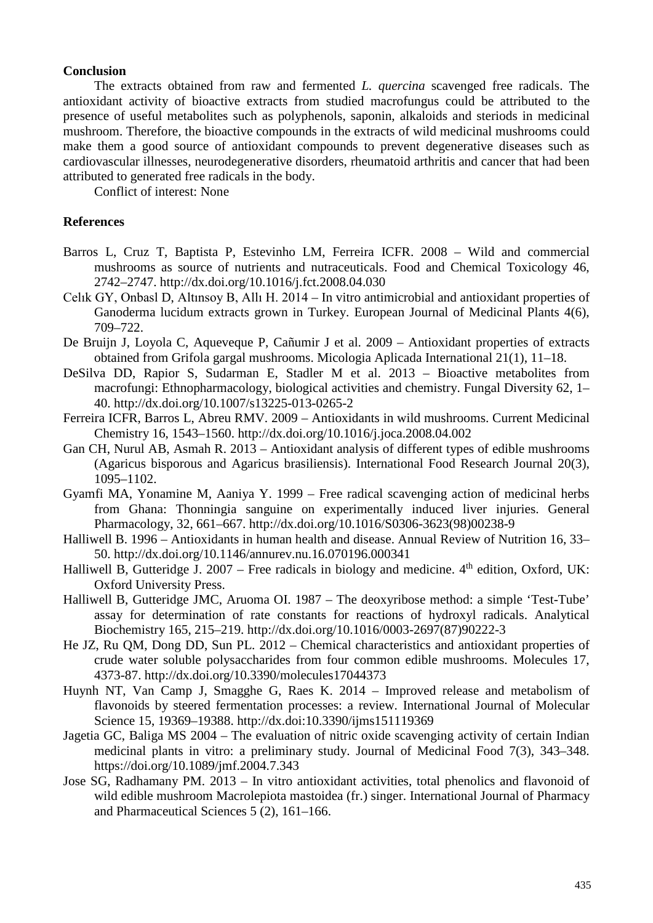# **Conclusion**

The extracts obtained from raw and fermented *L. quercina* scavenged free radicals. The antioxidant activity of bioactive extracts from studied macrofungus could be attributed to the presence of useful metabolites such as polyphenols, saponin, alkaloids and steriods in medicinal mushroom. Therefore, the bioactive compounds in the extracts of wild medicinal mushrooms could make them a good source of antioxidant compounds to prevent degenerative diseases such as cardiovascular illnesses, neurodegenerative disorders, rheumatoid arthritis and cancer that had been attributed to generated free radicals in the body.

Conflict of interest: None

# **References**

- Barros L, Cruz T, Baptista P, Estevinho LM, Ferreira ICFR. 2008 Wild and commercial mushrooms as source of nutrients and nutraceuticals. Food and Chemical Toxicology 46, 2742–2747. http://dx.doi.org/10.1016/j.fct.2008.04.030
- Celık GY, Onbasl D, Altınsoy B, Allı H. 2014 In vitro antimicrobial and antioxidant properties of Ganoderma lucidum extracts grown in Turkey. European Journal of Medicinal Plants 4(6), 709–722.
- De Bruijn J, Loyola C, Aqueveque P, Cañumir J et al. 2009 Antioxidant properties of extracts obtained from Grifola gargal mushrooms. Micologia Aplicada International 21(1), 11–18.
- DeSilva DD, Rapior S, Sudarman E, Stadler M et al. 2013 Bioactive metabolites from macrofungi: Ethnopharmacology, biological activities and chemistry. Fungal Diversity 62, 1– 40. http://dx.doi.org/10.1007/s13225-013-0265-2
- Ferreira ICFR, Barros L, Abreu RMV. 2009 Antioxidants in wild mushrooms. Current Medicinal Chemistry 16, 1543–1560. http://dx.doi.org/10.1016/j.joca.2008.04.002
- Gan CH, Nurul AB, Asmah R. 2013 Antioxidant analysis of different types of edible mushrooms (Agaricus bisporous and Agaricus brasiliensis). International Food Research Journal 20(3), 1095–1102.
- Gyamfi MA, Yonamine M, Aaniya Y. 1999 Free radical scavenging action of medicinal herbs from Ghana: Thonningia sanguine on experimentally induced liver injuries. General Pharmacology, 32, 661–667. http://dx.doi.org/10.1016/S0306-3623(98)00238-9
- Halliwell B. 1996 Antioxidants in human health and disease. Annual Review of Nutrition 16, 33– 50. http://dx.doi.org/10.1146/annurev.nu.16.070196.000341
- Halliwell B, Gutteridge J. 2007 Free radicals in biology and medicine.  $4<sup>th</sup>$  edition, Oxford, UK: Oxford University Press.
- Halliwell B, Gutteridge JMC, Aruoma OI. 1987 The deoxyribose method: a simple 'Test-Tube' assay for determination of rate constants for reactions of hydroxyl radicals. Analytical Biochemistry 165, 215–219. http://dx.doi.org/10.1016/0003-2697(87)90222-3
- He JZ, Ru QM, Dong DD, Sun PL. 2012 Chemical characteristics and antioxidant properties of crude water soluble polysaccharides from four common edible mushrooms. Molecules 17, 4373-87. http://dx.doi.org/10.3390/molecules17044373
- Huynh NT, Van Camp J, Smagghe G, Raes K. 2014 Improved release and metabolism of flavonoids by steered fermentation processes: a review. International Journal of Molecular Science 15, 19369–19388. http://dx.doi:10.3390/ijms151119369
- Jagetia GC, Baliga MS 2004 The evaluation of nitric oxide scavenging activity of certain Indian medicinal plants in vitro: a preliminary study. Journal of Medicinal Food 7(3), 343–348. https://doi.org/10.1089/jmf.2004.7.343
- Jose SG, Radhamany PM. 2013 In vitro antioxidant activities, total phenolics and flavonoid of wild edible mushroom Macrolepiota mastoidea (fr.) singer. International Journal of Pharmacy and Pharmaceutical Sciences 5 (2), 161–166.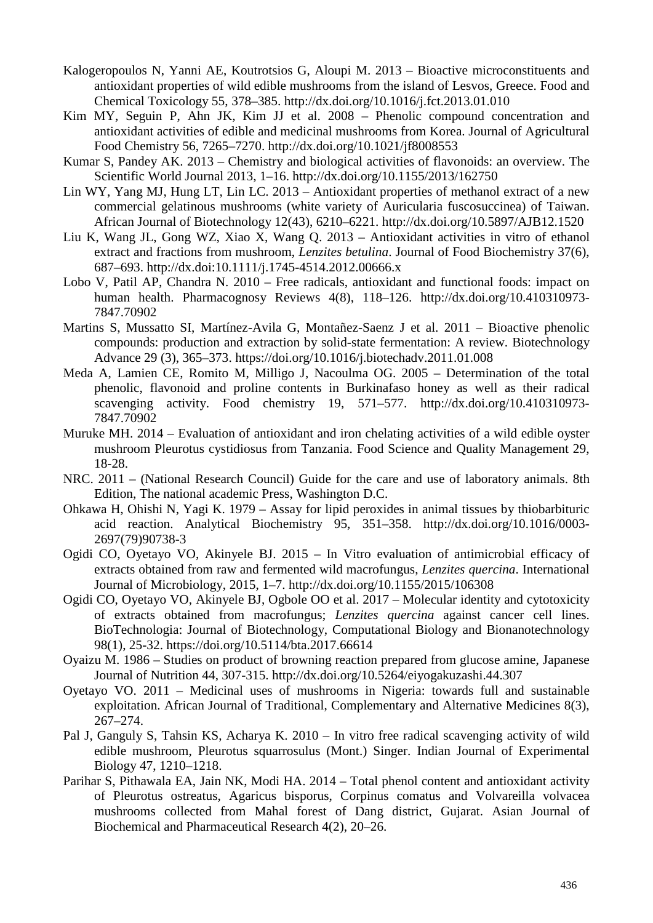- Kalogeropoulos N, Yanni AE, Koutrotsios G, Aloupi M. 2013 Bioactive microconstituents and antioxidant properties of wild edible mushrooms from the island of Lesvos, Greece. Food and Chemical Toxicology 55, 378–385. http://dx.doi.org/10.1016/j.fct.2013.01.010
- Kim MY, Seguin P, Ahn JK, Kim JJ et al. 2008 Phenolic compound concentration and antioxidant activities of edible and medicinal mushrooms from Korea. Journal of Agricultural Food Chemistry 56, 7265–7270. http://dx.doi.org/10.1021/jf8008553
- Kumar S, Pandey AK. 2013 Chemistry and biological activities of flavonoids: an overview. The Scientific World Journal 2013, 1–16. http://dx.doi.org/10.1155/2013/162750
- Lin WY, Yang MJ, Hung LT, Lin LC. 2013 Antioxidant properties of methanol extract of a new commercial gelatinous mushrooms (white variety of Auricularia fuscosuccinea) of Taiwan. African Journal of Biotechnology 12(43), 6210–6221. http://dx.doi.org/10.5897/AJB12.1520
- Liu K, Wang JL, Gong WZ, Xiao X, Wang Q. 2013 Antioxidant activities in vitro of ethanol extract and fractions from mushroom, *Lenzites betulina*. Journal of Food Biochemistry 37(6), 687–693. http://dx.doi:10.1111/j.1745-4514.2012.00666.x
- Lobo V, Patil AP, Chandra N. 2010 Free radicals, antioxidant and functional foods: impact on human health. Pharmacognosy Reviews 4(8), 118–126. http://dx.doi.org/10.410310973- 7847.70902
- Martins S, Mussatto SI, Martínez-Avila G, Montañez-Saenz J et al. 2011 Bioactive phenolic compounds: production and extraction by solid-state fermentation: A review. Biotechnology Advance 29 (3), 365–373. https://doi.org/10.1016/j.biotechadv.2011.01.008
- Meda A, Lamien CE, Romito M, Milligo J, Nacoulma OG. 2005 Determination of the total phenolic, flavonoid and proline contents in Burkinafaso honey as well as their radical scavenging activity. Food chemistry 19, 571–577. http://dx.doi.org/10.410310973- 7847.70902
- Muruke MH. 2014 Evaluation of antioxidant and iron chelating activities of a wild edible oyster mushroom Pleurotus cystidiosus from Tanzania. Food Science and Quality Management 29, 18-28.
- NRC. 2011 (National Research Council) Guide for the care and use of laboratory animals. 8th Edition, The national academic Press, Washington D.C.
- Ohkawa H, Ohishi N, Yagi K. 1979 Assay for lipid peroxides in animal tissues by thiobarbituric acid reaction. Analytical Biochemistry 95, 351–358. http://dx.doi.org/10.1016/0003- 2697(79)90738-3
- Ogidi CO, Oyetayo VO, Akinyele BJ. 2015 In Vitro evaluation of antimicrobial efficacy of extracts obtained from raw and fermented wild macrofungus, *Lenzites quercina*. International Journal of Microbiology, 2015, 1–7. http://dx.doi.org/10.1155/2015/106308
- Ogidi CO, Oyetayo VO, Akinyele BJ, Ogbole OO et al. 2017 Molecular identity and cytotoxicity of extracts obtained from macrofungus; *Lenzites quercina* against cancer cell lines. BioTechnologia: Journal of Biotechnology, Computational Biology and Bionanotechnology 98(1), 25-32. https://doi.org/10.5114/bta.2017.66614
- Oyaizu M. 1986 Studies on product of browning reaction prepared from glucose amine, Japanese Journal of Nutrition 44, 307-315. http://dx.doi.org/10.5264/eiyogakuzashi.44.307
- Oyetayo VO. 2011 Medicinal uses of mushrooms in Nigeria: towards full and sustainable exploitation. African Journal of Traditional, Complementary and Alternative Medicines 8(3), 267–274.
- Pal J, Ganguly S, Tahsin KS, Acharya K. 2010 In vitro free radical scavenging activity of wild edible mushroom, Pleurotus squarrosulus (Mont.) Singer. Indian Journal of Experimental Biology 47, 1210–1218.
- Parihar S, Pithawala EA, Jain NK, Modi HA. 2014 Total phenol content and antioxidant activity of Pleurotus ostreatus, Agaricus bisporus, Corpinus comatus and Volvareilla volvacea mushrooms collected from Mahal forest of Dang district, Gujarat. Asian Journal of Biochemical and Pharmaceutical Research 4(2), 20–26.